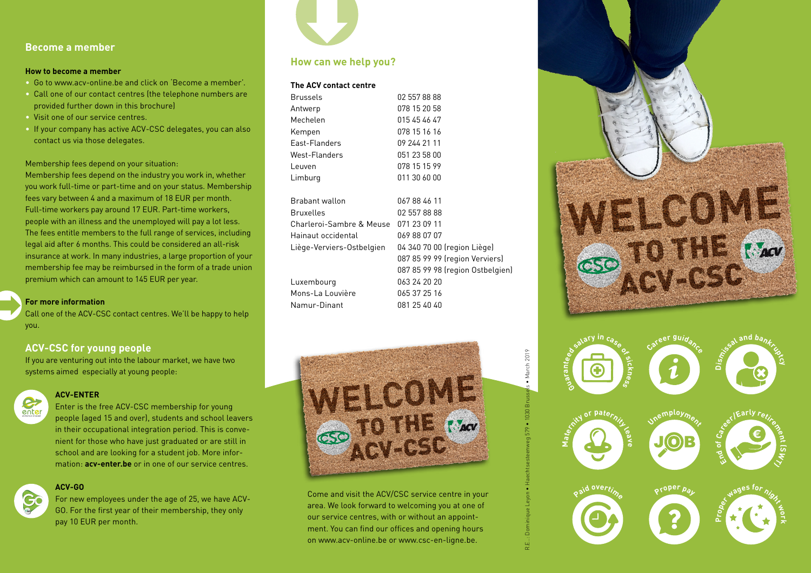## **Become a member**

#### **How to become a member**

- Go to www.acv-online.be and click on 'Become a member'.
- Call one of our contact centres (the telephone numbers are provided further down in this brochure)
- Visit one of our service centres.
- If your company has active ACV-CSC delegates, you can also contact us via those delegates.

#### Membership fees depend on your situation:

Membership fees depend on the industry you work in, whether you work full-time or part-time and on your status. Membership fees vary between 4 and a maximum of 18 EUR per month. Full-time workers pay around 17 EUR. Part-time workers, people with an illness and the unemployed will pay a lot less. The fees entitle members to the full range of services, including legal aid after 6 months. This could be considered an all-risk insurance at work. In many industries, a large proportion of your membership fee may be reimbursed in the form of a trade union premium which can amount to 145 EUR per year.

#### **For more information**

Call one of the ACV-CSC contact centres. We'll be happy to help you.

#### **ACV-CSC for young people**

If you are venturing out into the labour market, we have two systems aimed especially at young people:



## **ACV-ENTER**

Enter is the free ACV-CSC membership for young people (aged 15 and over), students and school leavers in their occupational integration period. This is convenient for those who have just graduated or are still in school and are looking for a student job. More information: **acv-enter.be** or in one of our service centres.

#### **ACV-GO**



For new employees under the age of 25, we have ACV-GO. For the first year of their membership, they only pay 10 EUR per month.



## **How can we help you?**

#### **The ACV contact centre**

| <b>Brussels</b>           | 02 557 88 88                     |
|---------------------------|----------------------------------|
| Antwerp                   | 078 15 20 58                     |
| Mechelen                  | 015 45 46 47                     |
| Kempen                    | 078 15 16 16                     |
| East-Flanders             | 09 244 21 11                     |
| West-Flanders             | 051 23 58 00                     |
| Leuven                    | 078 15 15 99                     |
| Limburg                   | 011 30 60 00                     |
| Brabant wallon            | 067884611                        |
| Bruxelles                 | 02 557 88 88                     |
| Charleroi-Sambre & Meuse  | 071 23 09 11                     |
| Hainaut occidental        | 069 88 07 07                     |
| Liège-Verviers-Ostbelgien | 04 340 70 00 (region Liège)      |
|                           | 087 85 99 99 (region Verviers)   |
|                           | 087 85 99 98 (region Ostbelgien) |
| Luxembourg                | 063 24 20 20                     |
| Mons-La Louvière          | 065 37 25 16                     |
| Namur-Dinant              | 081 25 40 40                     |



R.E..: Dominique Leyon • Haechtsesteenweg 579 • 1030 Brussels • March 2019

March 2019

Come and visit the ACV/CSC service centre in your area. We look forward to welcoming you at one of our service centres, with or without an appointment. You can find our offices and opening hours on www.acv-online.be or www.csc-en-ligne.be.